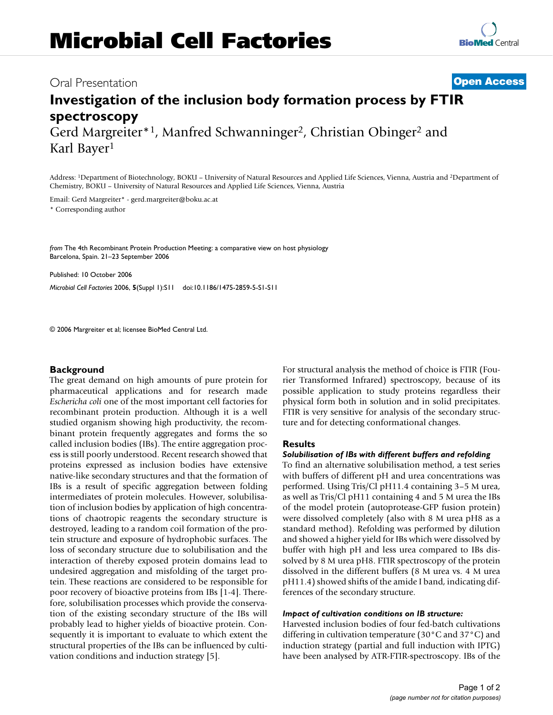### Oral Presentation **[Open Access](http://www.biomedcentral.com/info/about/charter/)**

# **[BioMed](http://www.biomedcentral.com/)** Central

## **Investigation of the inclusion body formation process by FTIR spectroscopy** Gerd Margreiter<sup>\*1</sup>, Manfred Schwanninger<sup>2</sup>, Christian Obinger<sup>2</sup> and

Karl Bayer1

Address: 1Department of Biotechnology, BOKU – University of Natural Resources and Applied Life Sciences, Vienna, Austria and 2Department of Chemistry, BOKU – University of Natural Resources and Applied Life Sciences, Vienna, Austria

Email: Gerd Margreiter\* - gerd.margreiter@boku.ac.at

\* Corresponding author

*from* The 4th Recombinant Protein Production Meeting: a comparative view on host physiology Barcelona, Spain. 21–23 September 2006

Published: 10 October 2006

*Microbial Cell Factories* 2006, **5**(Suppl 1):S11 doi:10.1186/1475-2859-5-S1-S11

© 2006 Margreiter et al; licensee BioMed Central Ltd.

#### **Background**

The great demand on high amounts of pure protein for pharmaceutical applications and for research made *Eschericha coli* one of the most important cell factories for recombinant protein production. Although it is a well studied organism showing high productivity, the recombinant protein frequently aggregates and forms the so called inclusion bodies (IBs). The entire aggregation process is still poorly understood. Recent research showed that proteins expressed as inclusion bodies have extensive native-like secondary structures and that the formation of IBs is a result of specific aggregation between folding intermediates of protein molecules. However, solubilisation of inclusion bodies by application of high concentrations of chaotropic reagents the secondary structure is destroyed, leading to a random coil formation of the protein structure and exposure of hydrophobic surfaces. The loss of secondary structure due to solubilisation and the interaction of thereby exposed protein domains lead to undesired aggregation and misfolding of the target protein. These reactions are considered to be responsible for poor recovery of bioactive proteins from IBs [1-4]. Therefore, solubilisation processes which provide the conservation of the existing secondary structure of the IBs will probably lead to higher yields of bioactive protein. Consequently it is important to evaluate to which extent the structural properties of the IBs can be influenced by cultivation conditions and induction strategy [5].

For structural analysis the method of choice is FTIR (Fourier Transformed Infrared) spectroscopy, because of its possible application to study proteins regardless their physical form both in solution and in solid precipitates. FTIR is very sensitive for analysis of the secondary structure and for detecting conformational changes.

#### **Results**

#### *Solubilisation of IBs with different buffers and refolding*

To find an alternative solubilisation method, a test series with buffers of different pH and urea concentrations was performed. Using Tris/Cl pH11.4 containing 3–5 M urea, as well as Tris/Cl pH11 containing 4 and 5 M urea the IBs of the model protein (autoprotease-GFP fusion protein) were dissolved completely (also with 8 M urea pH8 as a standard method). Refolding was performed by dilution and showed a higher yield for IBs which were dissolved by buffer with high pH and less urea compared to IBs dissolved by 8 M urea pH8. FTIR spectroscopy of the protein dissolved in the different buffers (8 M urea vs. 4 M urea pH11.4) showed shifts of the amide I band, indicating differences of the secondary structure.

#### *Impact of cultivation conditions on IB structure:*

Harvested inclusion bodies of four fed-batch cultivations differing in cultivation temperature (30°C and 37°C) and induction strategy (partial and full induction with IPTG) have been analysed by ATR-FTIR-spectroscopy. IBs of the